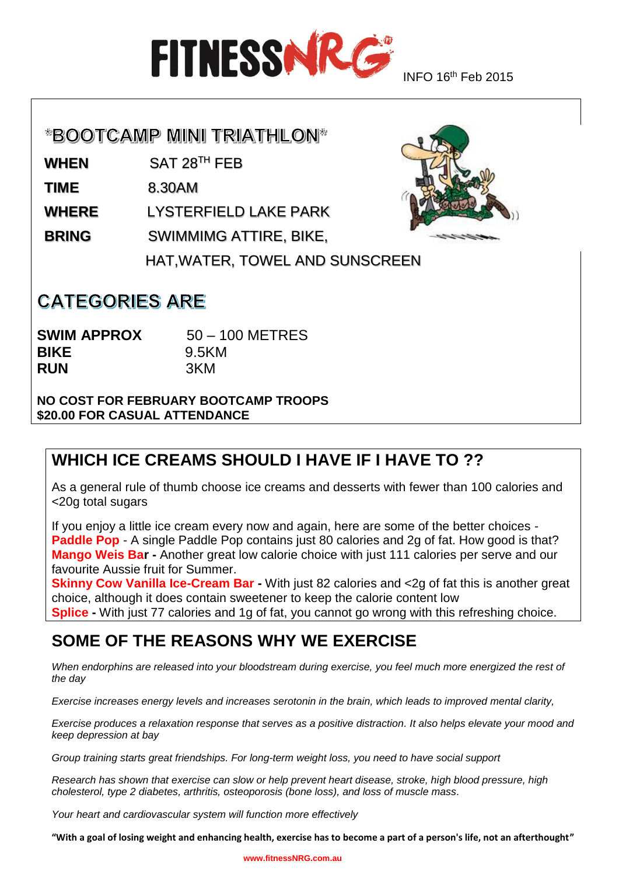

#### \*BOOTCAMP MINI TRIATHLON\*

**WHEN** SAT 28TH FEB

**TIME** 8.30AM

**WHERE** LYSTERFIELD LAKE PARK

**BRING** SWIMMIMG ATTIRE, BIKE,

HAT,WATER, TOWEL AND SUNSCREEN

## **CATEGORIES ARE**

**SWIM APPROX 50 – 100 METRES BIKE** 9.5KM **RUN** 3KM

**NO COST FOR FEBRUARY BOOTCAMP TROOPS \$20.00 FOR CASUAL ATTENDANCE**

## **WHICH ICE CREAMS SHOULD I HAVE IF I HAVE TO ??**

As a general rule of thumb choose ice creams and desserts with fewer than 100 calories and <20g total sugars

If you enjoy a little ice cream every now and again, here are some of the better choices - **Paddle Pop** - A single Paddle Pop contains just 80 calories and 2g of fat. How good is that? **Mango Weis Bar -** Another great low calorie choice with just 111 calories per serve and our favourite Aussie fruit for Summer.

**Skinny Cow Vanilla Ice-Cream Bar** - With just 82 calories and <2g of fat this is another great choice, although it does contain sweetener to keep the calorie content low **Splice -** With just 77 calories and 1g of fat, you cannot go wrong with this refreshing choice.

#### **SOME OF THE REASONS WHY WE EXERCISE**

*When endorphins are released into your bloodstream during exercise, you feel much more energized the rest of the day*

*Exercise increases energy levels and increases serotonin in the brain, which leads to improved mental clarity,* 

*Exercise produces a relaxation response that serves as a positive distraction. It also helps elevate your mood and keep depression at bay*

*Group training starts great friendships. For long-term weight loss, you need to have social support*

*Research has shown that exercise can slow or help prevent heart disease, stroke, high blood pressure, high cholesterol, type 2 diabetes, arthritis, osteoporosis (bone loss), and loss of muscle mass.*

*Your heart and cardiovascular system will function more effectively*

**"With a goal of losing weight and enhancing health, exercise has to become a part of a person's life, not an afterthought"**